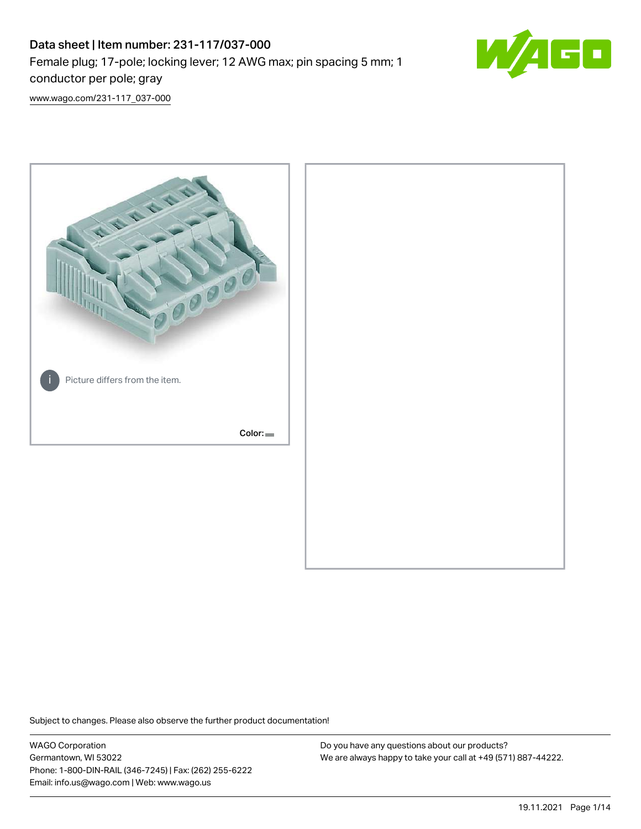# Data sheet | Item number: 231-117/037-000 Female plug; 17-pole; locking lever; 12 AWG max; pin spacing 5 mm; 1 conductor per pole; gray



[www.wago.com/231-117\\_037-000](http://www.wago.com/231-117_037-000)



Subject to changes. Please also observe the further product documentation!

WAGO Corporation Germantown, WI 53022 Phone: 1-800-DIN-RAIL (346-7245) | Fax: (262) 255-6222 Email: info.us@wago.com | Web: www.wago.us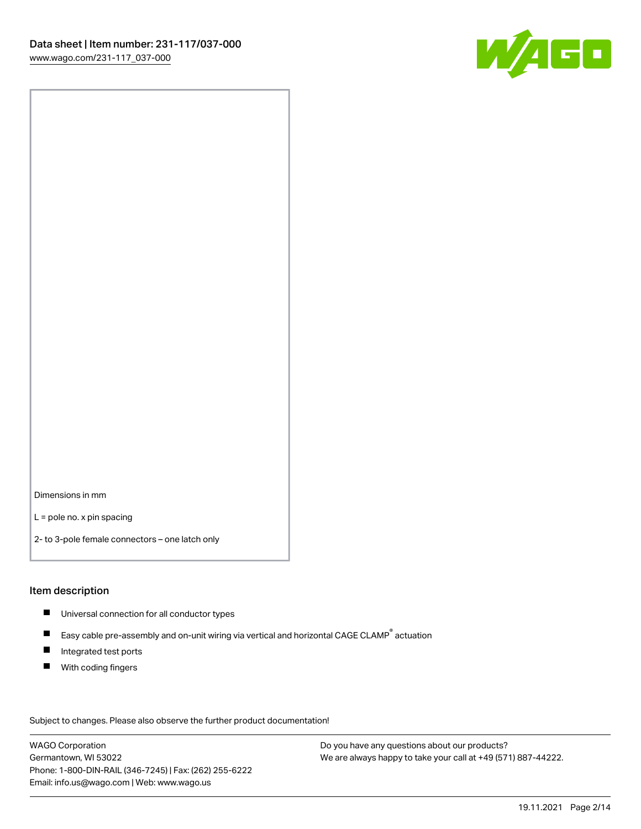

Dimensions in mm

L = pole no. x pin spacing

2- to 3-pole female connectors – one latch only

#### Item description

- **Universal connection for all conductor types**
- Easy cable pre-assembly and on-unit wiring via vertical and horizontal CAGE CLAMP<sup>®</sup> actuation  $\blacksquare$
- $\blacksquare$ Integrated test ports
- $\blacksquare$ With coding fingers

Subject to changes. Please also observe the further product documentation! Data

WAGO Corporation Germantown, WI 53022 Phone: 1-800-DIN-RAIL (346-7245) | Fax: (262) 255-6222 Email: info.us@wago.com | Web: www.wago.us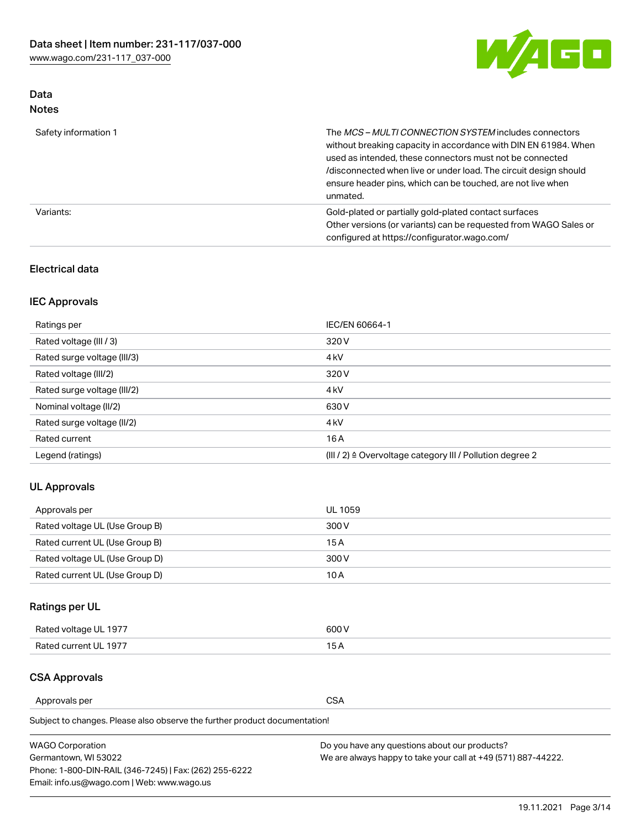

## Data Notes

| Safety information 1 | The MCS-MULTI CONNECTION SYSTEM includes connectors<br>without breaking capacity in accordance with DIN EN 61984. When<br>used as intended, these connectors must not be connected<br>/disconnected when live or under load. The circuit design should<br>ensure header pins, which can be touched, are not live when<br>unmated. |
|----------------------|-----------------------------------------------------------------------------------------------------------------------------------------------------------------------------------------------------------------------------------------------------------------------------------------------------------------------------------|
| Variants:            | Gold-plated or partially gold-plated contact surfaces<br>Other versions (or variants) can be requested from WAGO Sales or<br>configured at https://configurator.wago.com/                                                                                                                                                         |

## Electrical data

## IEC Approvals

| Ratings per                 | IEC/EN 60664-1                                                        |
|-----------------------------|-----------------------------------------------------------------------|
| Rated voltage (III / 3)     | 320 V                                                                 |
| Rated surge voltage (III/3) | 4 <sub>k</sub> V                                                      |
| Rated voltage (III/2)       | 320 V                                                                 |
| Rated surge voltage (III/2) | 4 <sub>k</sub> V                                                      |
| Nominal voltage (II/2)      | 630 V                                                                 |
| Rated surge voltage (II/2)  | 4 <sub>k</sub> V                                                      |
| Rated current               | 16 A                                                                  |
| Legend (ratings)            | $(III / 2)$ $\triangle$ Overvoltage category III / Pollution degree 2 |

## UL Approvals

| Approvals per                  | UL 1059 |
|--------------------------------|---------|
| Rated voltage UL (Use Group B) | 300 V   |
| Rated current UL (Use Group B) | 15 A    |
| Rated voltage UL (Use Group D) | 300 V   |
| Rated current UL (Use Group D) | 10 A    |

## Ratings per UL

| Rated voltage UL 1977 | 300 V |
|-----------------------|-------|
| Rated current UL 1977 |       |

## CSA Approvals

Approvals per CSA

Subject to changes. Please also observe the further product documentation!

| <b>WAGO Corporation</b>                                | Do you have any questions about our products?                 |
|--------------------------------------------------------|---------------------------------------------------------------|
| Germantown, WI 53022                                   | We are always happy to take your call at +49 (571) 887-44222. |
| Phone: 1-800-DIN-RAIL (346-7245)   Fax: (262) 255-6222 |                                                               |
| Email: info.us@wago.com   Web: www.wago.us             |                                                               |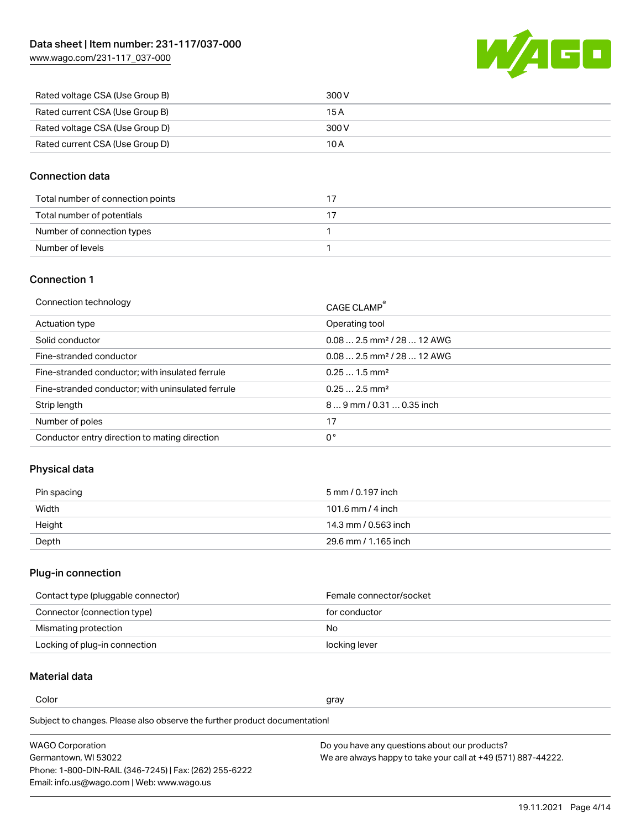WAGO

| Rated voltage CSA (Use Group B) | 300 V |
|---------------------------------|-------|
| Rated current CSA (Use Group B) | 15 A  |
| Rated voltage CSA (Use Group D) | 300 V |
| Rated current CSA (Use Group D) | 10 A  |

## Connection data

| Total number of connection points |  |
|-----------------------------------|--|
| Total number of potentials        |  |
| Number of connection types        |  |
| Number of levels                  |  |

### Connection 1

| Connection technology                             | CAGE CLAMP®                             |
|---------------------------------------------------|-----------------------------------------|
| Actuation type                                    | Operating tool                          |
| Solid conductor                                   | $0.08$ 2.5 mm <sup>2</sup> / 28  12 AWG |
| Fine-stranded conductor                           | $0.082.5$ mm <sup>2</sup> / 28  12 AWG  |
| Fine-stranded conductor; with insulated ferrule   | $0.251.5$ mm <sup>2</sup>               |
| Fine-stranded conductor; with uninsulated ferrule | $0.252.5$ mm <sup>2</sup>               |
| Strip length                                      | 89 mm / 0.31  0.35 inch                 |
| Number of poles                                   | 17                                      |
| Conductor entry direction to mating direction     | 0°                                      |
|                                                   |                                         |

## Physical data

| Pin spacing | 5 mm / 0.197 inch    |
|-------------|----------------------|
| Width       | 101.6 mm / 4 inch    |
| Height      | 14.3 mm / 0.563 inch |
| Depth       | 29.6 mm / 1.165 inch |

## Plug-in connection

| Contact type (pluggable connector) | Female connector/socket |
|------------------------------------|-------------------------|
| Connector (connection type)        | for conductor           |
| Mismating protection               | No.                     |
| Locking of plug-in connection      | locking lever           |

## Material data

Color and the color of the color of the color of the color of the color of the color of the color of the color

Subject to changes. Please also observe the further product documentation! Material group I

| <b>WAGO Corporation</b>                                | Do you have any questions about our products?                 |
|--------------------------------------------------------|---------------------------------------------------------------|
| Germantown, WI 53022                                   | We are always happy to take your call at +49 (571) 887-44222. |
| Phone: 1-800-DIN-RAIL (346-7245)   Fax: (262) 255-6222 |                                                               |
| Email: info.us@wago.com   Web: www.wago.us             |                                                               |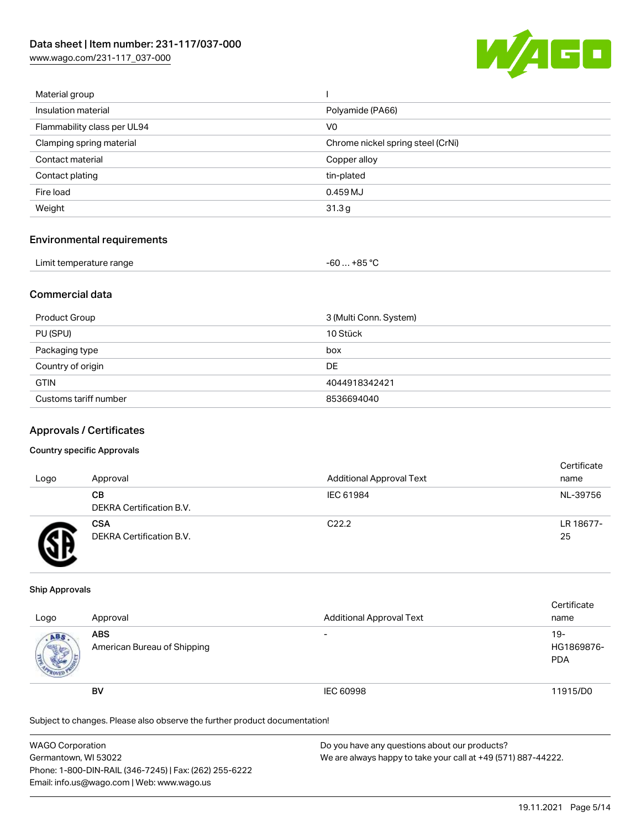[www.wago.com/231-117\\_037-000](http://www.wago.com/231-117_037-000)



| Material group              |                                   |
|-----------------------------|-----------------------------------|
| Insulation material         | Polyamide (PA66)                  |
| Flammability class per UL94 | V <sub>0</sub>                    |
| Clamping spring material    | Chrome nickel spring steel (CrNi) |
| Contact material            | Copper alloy                      |
| Contact plating             | tin-plated                        |
| Fire load                   | 0.459 MJ                          |
| Weight                      | 31.3g                             |
|                             |                                   |

#### Environmental requirements

| Limit temperature range<br>. | ,+85 °ົ<br>-60 |  |
|------------------------------|----------------|--|
|------------------------------|----------------|--|

## Commercial data

| Product Group         | 3 (Multi Conn. System) |
|-----------------------|------------------------|
| PU (SPU)              | 10 Stück               |
| Packaging type        | box                    |
| Country of origin     | DE                     |
| <b>GTIN</b>           | 4044918342421          |
| Customs tariff number | 8536694040             |

#### Approvals / Certificates

#### Country specific Approvals

| Logo | Approval                               | <b>Additional Approval Text</b> | Certificate<br>name |
|------|----------------------------------------|---------------------------------|---------------------|
|      | CВ<br>DEKRA Certification B.V.         | IEC 61984                       | NL-39756            |
|      | <b>CSA</b><br>DEKRA Certification B.V. | C <sub>22.2</sub>               | LR 18677-<br>25     |

#### Ship Approvals

| Logo | Approval                                  | <b>Additional Approval Text</b> | Certificate<br>name                |
|------|-------------------------------------------|---------------------------------|------------------------------------|
| ABS  | <b>ABS</b><br>American Bureau of Shipping | $\overline{\phantom{0}}$        | $19 -$<br>HG1869876-<br><b>PDA</b> |
|      | <b>BV</b>                                 | IEC 60998                       | 11915/D0                           |

Subject to changes. Please also observe the further product documentation!

| <b>WAGO Corporation</b>                                | Do you have any questions about our products?                 |  |
|--------------------------------------------------------|---------------------------------------------------------------|--|
| Germantown, WI 53022                                   | We are always happy to take your call at +49 (571) 887-44222. |  |
| Phone: 1-800-DIN-RAIL (346-7245)   Fax: (262) 255-6222 |                                                               |  |
| Email: info.us@wago.com   Web: www.wago.us             |                                                               |  |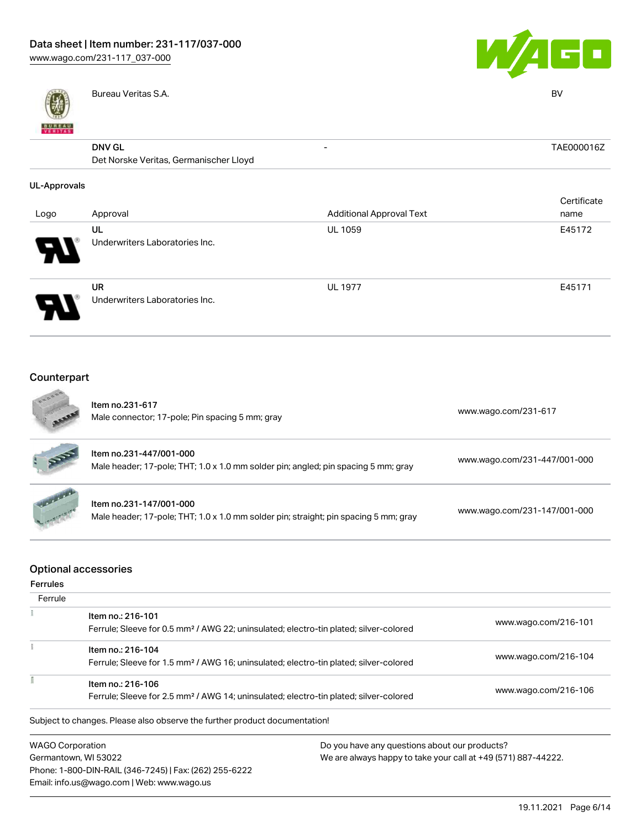



Bureau Veritas S.A. BV

## DNV GL

| <b>DNV GL</b>                          | TAE000016Z |
|----------------------------------------|------------|
| Det Norske Veritas, Germanischer Lloyd |            |

#### UL-Approvals

| Logo                       | Approval                                    | <b>Additional Approval Text</b> | Certificate<br>name |
|----------------------------|---------------------------------------------|---------------------------------|---------------------|
| $\boldsymbol{\mathcal{A}}$ | UL<br>Underwriters Laboratories Inc.        | <b>UL 1059</b>                  | E45172              |
|                            | <b>UR</b><br>Underwriters Laboratories Inc. | <b>UL 1977</b>                  | E45171              |

#### Counterpart  $\mathcal{A}$

1

 $I P$ 

| 1000<br><b>AREE</b> | Item no.231-617<br>Male connector; 17-pole; Pin spacing 5 mm; gray                                              | www.wago.com/231-617         |
|---------------------|-----------------------------------------------------------------------------------------------------------------|------------------------------|
| RE                  | Item no.231-447/001-000<br>Male header; 17-pole; THT; 1.0 x 1.0 mm solder pin; angled; pin spacing 5 mm; gray   | www.wago.com/231-447/001-000 |
| <b>Satariana</b>    | Item no.231-147/001-000<br>Male header; 17-pole; THT; 1.0 x 1.0 mm solder pin; straight; pin spacing 5 mm; gray | www.wago.com/231-147/001-000 |

## Optional accessories

Phone: 1-800-DIN-RAIL (346-7245) | Fax: (262) 255-6222

Email: info.us@wago.com | Web: www.wago.us

| <b>Ferrules</b>                                                                                   |                                                                                                   |                                                               |                      |
|---------------------------------------------------------------------------------------------------|---------------------------------------------------------------------------------------------------|---------------------------------------------------------------|----------------------|
| Ferrule                                                                                           |                                                                                                   |                                                               |                      |
|                                                                                                   | Item no.: 216-101                                                                                 |                                                               |                      |
|                                                                                                   | Ferrule; Sleeve for 0.5 mm <sup>2</sup> / AWG 22; uninsulated; electro-tin plated; silver-colored |                                                               | www.wago.com/216-101 |
|                                                                                                   | Item no.: 216-104                                                                                 |                                                               |                      |
|                                                                                                   | Ferrule; Sleeve for 1.5 mm <sup>2</sup> / AWG 16; uninsulated; electro-tin plated; silver-colored |                                                               | www.wago.com/216-104 |
|                                                                                                   | Item no.: 216-106                                                                                 |                                                               |                      |
| Ferrule; Sleeve for 2.5 mm <sup>2</sup> / AWG 14; uninsulated; electro-tin plated; silver-colored |                                                                                                   | www.wago.com/216-106                                          |                      |
|                                                                                                   | Subject to changes. Please also observe the further product documentation!                        |                                                               |                      |
|                                                                                                   | <b>WAGO Corporation</b>                                                                           | Do you have any questions about our products?                 |                      |
|                                                                                                   | Germantown, WI 53022                                                                              | We are always happy to take your call at +49 (571) 887-44222. |                      |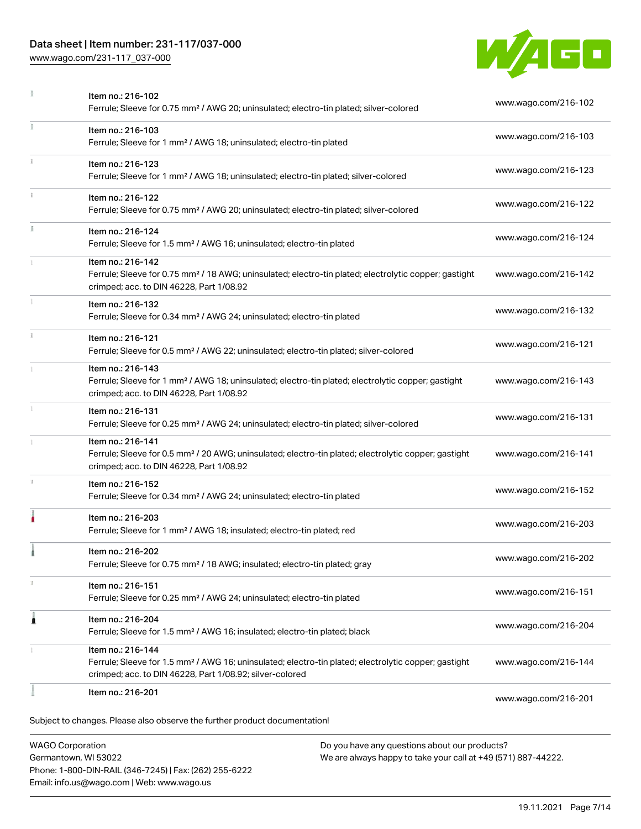## Data sheet | Item number: 231-117/037-000

[www.wago.com/231-117\\_037-000](http://www.wago.com/231-117_037-000)



|              | Item no.: 216-102<br>Ferrule; Sleeve for 0.75 mm <sup>2</sup> / AWG 20; uninsulated; electro-tin plated; silver-colored                                                                           | www.wago.com/216-102 |
|--------------|---------------------------------------------------------------------------------------------------------------------------------------------------------------------------------------------------|----------------------|
|              | Item no.: 216-103<br>Ferrule; Sleeve for 1 mm <sup>2</sup> / AWG 18; uninsulated; electro-tin plated                                                                                              | www.wago.com/216-103 |
|              | Item no.: 216-123<br>Ferrule; Sleeve for 1 mm <sup>2</sup> / AWG 18; uninsulated; electro-tin plated; silver-colored                                                                              | www.wago.com/216-123 |
|              | Item no.: 216-122<br>Ferrule; Sleeve for 0.75 mm <sup>2</sup> / AWG 20; uninsulated; electro-tin plated; silver-colored                                                                           | www.wago.com/216-122 |
| I.           | Item no.: 216-124<br>Ferrule; Sleeve for 1.5 mm <sup>2</sup> / AWG 16; uninsulated; electro-tin plated                                                                                            | www.wago.com/216-124 |
|              | Item no.: 216-142<br>Ferrule; Sleeve for 0.75 mm <sup>2</sup> / 18 AWG; uninsulated; electro-tin plated; electrolytic copper; gastight<br>crimped; acc. to DIN 46228, Part 1/08.92                | www.wago.com/216-142 |
|              | Item no.: 216-132<br>Ferrule; Sleeve for 0.34 mm <sup>2</sup> / AWG 24; uninsulated; electro-tin plated                                                                                           | www.wago.com/216-132 |
| $\mathbf{i}$ | Item no.: 216-121<br>Ferrule; Sleeve for 0.5 mm <sup>2</sup> / AWG 22; uninsulated; electro-tin plated; silver-colored                                                                            | www.wago.com/216-121 |
|              | Item no.: 216-143<br>Ferrule; Sleeve for 1 mm <sup>2</sup> / AWG 18; uninsulated; electro-tin plated; electrolytic copper; gastight<br>crimped; acc. to DIN 46228, Part 1/08.92                   | www.wago.com/216-143 |
|              | Item no.: 216-131<br>Ferrule; Sleeve for 0.25 mm <sup>2</sup> / AWG 24; uninsulated; electro-tin plated; silver-colored                                                                           | www.wago.com/216-131 |
|              | Item no.: 216-141<br>Ferrule; Sleeve for 0.5 mm <sup>2</sup> / 20 AWG; uninsulated; electro-tin plated; electrolytic copper; gastight<br>crimped; acc. to DIN 46228, Part 1/08.92                 | www.wago.com/216-141 |
| J.           | Item no.: 216-152<br>Ferrule; Sleeve for 0.34 mm <sup>2</sup> / AWG 24; uninsulated; electro-tin plated                                                                                           | www.wago.com/216-152 |
|              | Item no.: 216-203<br>Ferrule; Sleeve for 1 mm <sup>2</sup> / AWG 18; insulated; electro-tin plated; red                                                                                           | www.wago.com/216-203 |
|              | Item no.: 216-202<br>Ferrule; Sleeve for 0.75 mm <sup>2</sup> / 18 AWG; insulated; electro-tin plated; gray                                                                                       | www.wago.com/216-202 |
|              | Item no.: 216-151<br>Ferrule; Sleeve for 0.25 mm <sup>2</sup> / AWG 24; uninsulated; electro-tin plated                                                                                           | www.wago.com/216-151 |
| 1            | Item no.: 216-204<br>Ferrule; Sleeve for 1.5 mm <sup>2</sup> / AWG 16; insulated; electro-tin plated; black                                                                                       | www.wago.com/216-204 |
|              | Item no.: 216-144<br>Ferrule; Sleeve for 1.5 mm <sup>2</sup> / AWG 16; uninsulated; electro-tin plated; electrolytic copper; gastight<br>crimped; acc. to DIN 46228, Part 1/08.92; silver-colored | www.wago.com/216-144 |
|              | Item no.: 216-201                                                                                                                                                                                 | www.wago.com/216-201 |
|              | Subject to changes. Please also observe the further product documentation!                                                                                                                        |                      |
|              | <b>WAGO Corporation</b><br>Do you have any questions about our products?                                                                                                                          |                      |

Germantown, WI 53022 Phone: 1-800-DIN-RAIL (346-7245) | Fax: (262) 255-6222 Email: info.us@wago.com | Web: www.wago.us

have any questions about o<mark></mark> We are always happy to take your call at +49 (571) 887-44222.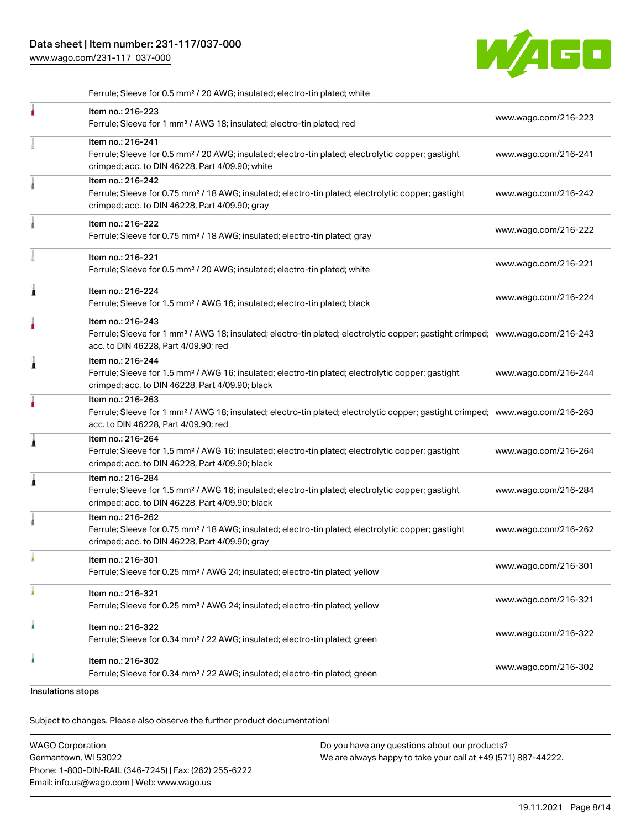[www.wago.com/231-117\\_037-000](http://www.wago.com/231-117_037-000)



Ferrule; Sleeve for 0.5 mm² / 20 AWG; insulated; electro-tin plated; white

|                   | Item no.: 216-223<br>Ferrule; Sleeve for 1 mm <sup>2</sup> / AWG 18; insulated; electro-tin plated; red                                                                                                 | www.wago.com/216-223 |
|-------------------|---------------------------------------------------------------------------------------------------------------------------------------------------------------------------------------------------------|----------------------|
|                   | Item no.: 216-241<br>Ferrule; Sleeve for 0.5 mm <sup>2</sup> / 20 AWG; insulated; electro-tin plated; electrolytic copper; gastight<br>crimped; acc. to DIN 46228, Part 4/09.90; white                  | www.wago.com/216-241 |
|                   | Item no.: 216-242<br>Ferrule; Sleeve for 0.75 mm <sup>2</sup> / 18 AWG; insulated; electro-tin plated; electrolytic copper; gastight<br>crimped; acc. to DIN 46228, Part 4/09.90; gray                  | www.wago.com/216-242 |
|                   | Item no.: 216-222<br>Ferrule; Sleeve for 0.75 mm <sup>2</sup> / 18 AWG; insulated; electro-tin plated; gray                                                                                             | www.wago.com/216-222 |
|                   | Item no.: 216-221<br>Ferrule; Sleeve for 0.5 mm <sup>2</sup> / 20 AWG; insulated; electro-tin plated; white                                                                                             | www.wago.com/216-221 |
| Â                 | Item no.: 216-224<br>Ferrule; Sleeve for 1.5 mm <sup>2</sup> / AWG 16; insulated; electro-tin plated; black                                                                                             | www.wago.com/216-224 |
|                   | Item no.: 216-243<br>Ferrule; Sleeve for 1 mm <sup>2</sup> / AWG 18; insulated; electro-tin plated; electrolytic copper; gastight crimped; www.wago.com/216-243<br>acc. to DIN 46228, Part 4/09.90; red |                      |
| ì                 | Item no.: 216-244<br>Ferrule; Sleeve for 1.5 mm <sup>2</sup> / AWG 16; insulated; electro-tin plated; electrolytic copper; gastight<br>crimped; acc. to DIN 46228, Part 4/09.90; black                  | www.wago.com/216-244 |
|                   | Item no.: 216-263<br>Ferrule; Sleeve for 1 mm <sup>2</sup> / AWG 18; insulated; electro-tin plated; electrolytic copper; gastight crimped; www.wago.com/216-263<br>acc. to DIN 46228, Part 4/09.90; red |                      |
| Â                 | Item no.: 216-264<br>Ferrule; Sleeve for 1.5 mm <sup>2</sup> / AWG 16; insulated; electro-tin plated; electrolytic copper; gastight<br>crimped; acc. to DIN 46228, Part 4/09.90; black                  | www.wago.com/216-264 |
| Â                 | Item no.: 216-284<br>Ferrule; Sleeve for 1.5 mm <sup>2</sup> / AWG 16; insulated; electro-tin plated; electrolytic copper; gastight<br>crimped; acc. to DIN 46228, Part 4/09.90; black                  | www.wago.com/216-284 |
|                   | Item no.: 216-262<br>Ferrule; Sleeve for 0.75 mm <sup>2</sup> / 18 AWG; insulated; electro-tin plated; electrolytic copper; gastight<br>crimped; acc. to DIN 46228, Part 4/09.90; gray                  | www.wago.com/216-262 |
|                   | Item no.: 216-301<br>Ferrule; Sleeve for 0.25 mm <sup>2</sup> / AWG 24; insulated; electro-tin plated; yellow                                                                                           | www.wago.com/216-301 |
|                   | Item no.: 216-321<br>Ferrule; Sleeve for 0.25 mm <sup>2</sup> / AWG 24; insulated; electro-tin plated; yellow                                                                                           | www.wago.com/216-321 |
| ٠                 | Item no.: 216-322<br>Ferrule; Sleeve for 0.34 mm <sup>2</sup> / 22 AWG; insulated; electro-tin plated; green                                                                                            | www.wago.com/216-322 |
| ٠                 | Item no.: 216-302<br>Ferrule; Sleeve for 0.34 mm <sup>2</sup> / 22 AWG; insulated; electro-tin plated; green                                                                                            | www.wago.com/216-302 |
| Insulations stops |                                                                                                                                                                                                         |                      |

.<br>Subject to changes. Please also observe the further product documentation!

| <b>WAGO Corporation</b>                                | Do you have any questions about our products?                 |
|--------------------------------------------------------|---------------------------------------------------------------|
| Germantown, WI 53022                                   | We are always happy to take your call at +49 (571) 887-44222. |
| Phone: 1-800-DIN-RAIL (346-7245)   Fax: (262) 255-6222 |                                                               |
| Email: info.us@wago.com   Web: www.wago.us             |                                                               |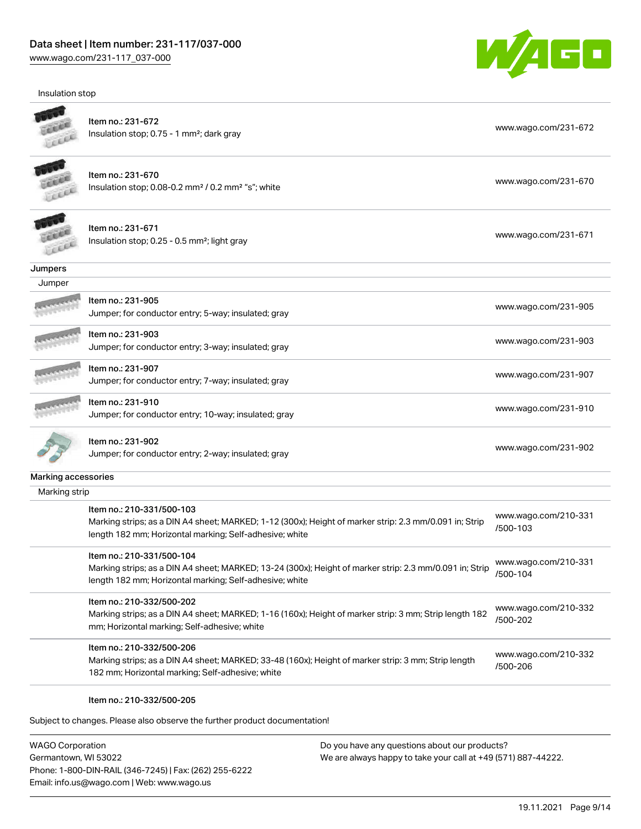Insulation stop



| insulation stop     |                                                                                                         |                      |
|---------------------|---------------------------------------------------------------------------------------------------------|----------------------|
|                     |                                                                                                         |                      |
|                     | Item no.: 231-672                                                                                       | www.wago.com/231-672 |
|                     | Insulation stop; 0.75 - 1 mm <sup>2</sup> ; dark gray                                                   |                      |
|                     |                                                                                                         |                      |
|                     | Item no.: 231-670                                                                                       |                      |
|                     | Insulation stop; 0.08-0.2 mm <sup>2</sup> / 0.2 mm <sup>2</sup> "s"; white                              | www.wago.com/231-670 |
|                     |                                                                                                         |                      |
|                     |                                                                                                         |                      |
|                     | Item no.: 231-671                                                                                       | www.wago.com/231-671 |
|                     | Insulation stop; 0.25 - 0.5 mm <sup>2</sup> ; light gray                                                |                      |
|                     |                                                                                                         |                      |
| Jumpers<br>Jumper   |                                                                                                         |                      |
|                     | Item no.: 231-905                                                                                       |                      |
|                     | Jumper; for conductor entry; 5-way; insulated; gray                                                     | www.wago.com/231-905 |
|                     |                                                                                                         |                      |
|                     | Item no.: 231-903                                                                                       | www.wago.com/231-903 |
|                     | Jumper; for conductor entry; 3-way; insulated; gray                                                     |                      |
|                     | Item no.: 231-907                                                                                       |                      |
|                     | Jumper; for conductor entry; 7-way; insulated; gray                                                     | www.wago.com/231-907 |
|                     | Item no.: 231-910                                                                                       |                      |
|                     | Jumper; for conductor entry; 10-way; insulated; gray                                                    | www.wago.com/231-910 |
|                     |                                                                                                         |                      |
|                     | Item no.: 231-902                                                                                       |                      |
|                     | Jumper; for conductor entry; 2-way; insulated; gray                                                     | www.wago.com/231-902 |
| Marking accessories |                                                                                                         |                      |
| Marking strip       |                                                                                                         |                      |
|                     | Item no.: 210-331/500-103                                                                               |                      |
|                     | Marking strips; as a DIN A4 sheet; MARKED; 1-12 (300x); Height of marker strip: 2.3 mm/0.091 in; Strip  | www.wago.com/210-331 |
|                     | length 182 mm; Horizontal marking; Self-adhesive; white                                                 | /500-103             |
|                     | Item no.: 210-331/500-104                                                                               |                      |
|                     | Marking strips; as a DIN A4 sheet; MARKED; 13-24 (300x); Height of marker strip: 2.3 mm/0.091 in; Strip | www.wago.com/210-331 |
|                     | length 182 mm; Horizontal marking; Self-adhesive; white                                                 | /500-104             |
|                     | Item no.: 210-332/500-202                                                                               |                      |
|                     | Marking strips; as a DIN A4 sheet; MARKED; 1-16 (160x); Height of marker strip: 3 mm; Strip length 182  | www.wago.com/210-332 |
|                     | mm; Horizontal marking; Self-adhesive; white                                                            | /500-202             |
|                     |                                                                                                         |                      |
|                     | Item no.: 210-332/500-206                                                                               | www.wago.com/210-332 |
|                     | Marking strips; as a DIN A4 sheet; MARKED; 33-48 (160x); Height of marker strip: 3 mm; Strip length     | /500-206             |
|                     | 182 mm; Horizontal marking; Self-adhesive; white                                                        |                      |
|                     | Item no.: 210-332/500-205                                                                               |                      |
|                     |                                                                                                         |                      |
|                     | Subject to changes. Please also observe the further product documentation!                              |                      |

WAGO Corporation Germantown, WI 53022 Phone: 1-800-DIN-RAIL (346-7245) | Fax: (262) 255-6222 Email: info.us@wago.com | Web: www.wago.us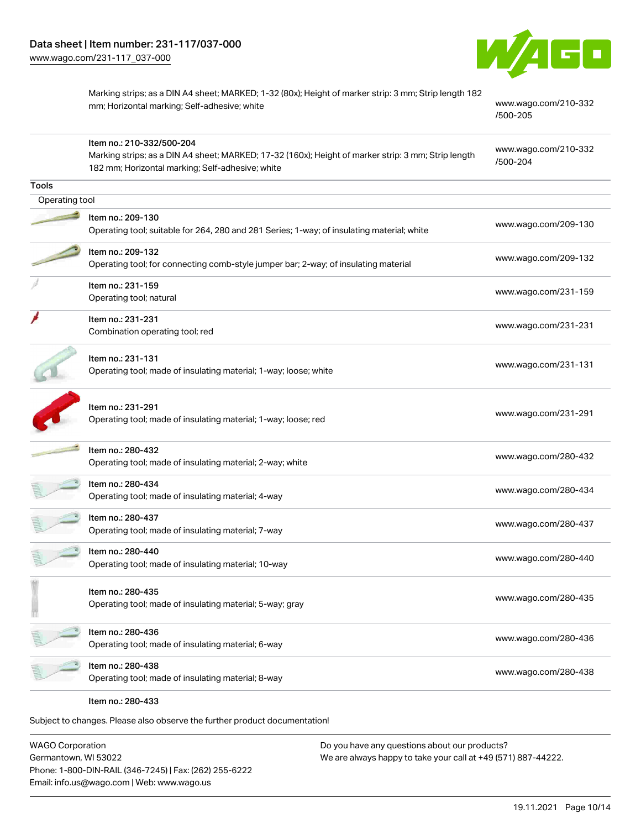

Marking strips; as a DIN A4 sheet; MARKED; 1-32 (80x); Height of marker strip: 3 mm; Strip length 182 mm; Horizontal marking; Self-adhesive; white [www.wago.com/210-332](http://www.wago.com/210-332/500-205)

[/500-205](http://www.wago.com/210-332/500-205)

|                | Item no.: 210-332/500-204<br>Marking strips; as a DIN A4 sheet; MARKED; 17-32 (160x); Height of marker strip: 3 mm; Strip length<br>182 mm; Horizontal marking; Self-adhesive; white | www.wago.com/210-332<br>/500-204 |
|----------------|--------------------------------------------------------------------------------------------------------------------------------------------------------------------------------------|----------------------------------|
| <b>Tools</b>   |                                                                                                                                                                                      |                                  |
| Operating tool |                                                                                                                                                                                      |                                  |
|                | Item no.: 209-130<br>Operating tool; suitable for 264, 280 and 281 Series; 1-way; of insulating material; white                                                                      | www.wago.com/209-130             |
|                | Item no.: 209-132<br>Operating tool; for connecting comb-style jumper bar; 2-way; of insulating material                                                                             | www.wago.com/209-132             |
|                | Item no.: 231-159<br>Operating tool; natural                                                                                                                                         | www.wago.com/231-159             |
|                | Item no.: 231-231<br>Combination operating tool; red                                                                                                                                 | www.wago.com/231-231             |
|                | Item no.: 231-131<br>Operating tool; made of insulating material; 1-way; loose; white                                                                                                | www.wago.com/231-131             |
|                | Item no.: 231-291<br>Operating tool; made of insulating material; 1-way; loose; red                                                                                                  | www.wago.com/231-291             |
|                | Item no.: 280-432<br>Operating tool; made of insulating material; 2-way; white                                                                                                       | www.wago.com/280-432             |
|                | Item no.: 280-434<br>Operating tool; made of insulating material; 4-way                                                                                                              | www.wago.com/280-434             |
|                | Item no.: 280-437<br>Operating tool; made of insulating material; 7-way                                                                                                              | www.wago.com/280-437             |
|                | Item no.: 280-440<br>Operating tool; made of insulating material; 10-way                                                                                                             | www.wago.com/280-440             |
|                | Item no.: 280-435<br>Operating tool; made of insulating material; 5-way; gray                                                                                                        | www.wago.com/280-435             |
|                | Item no.: 280-436<br>Operating tool; made of insulating material; 6-way                                                                                                              | www.wago.com/280-436             |
|                | Item no.: 280-438<br>Operating tool; made of insulating material; 8-way                                                                                                              | www.wago.com/280-438             |
|                | Item no.: 280-433                                                                                                                                                                    |                                  |

Subject to changes. Please also observe the further product documentation!

WAGO Corporation Germantown, WI 53022 Phone: 1-800-DIN-RAIL (346-7245) | Fax: (262) 255-6222 Email: info.us@wago.com | Web: www.wago.us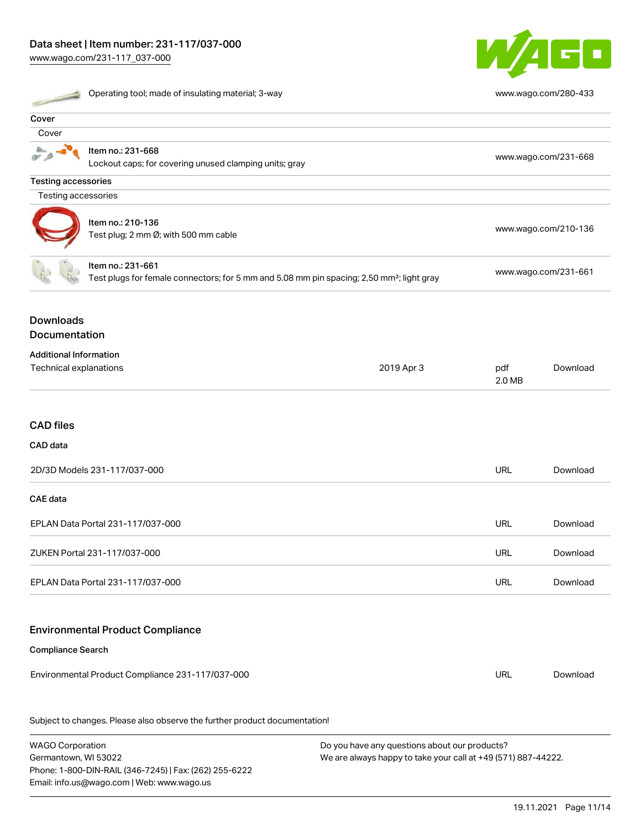

| Operating tool; made of insulating material; 3-way             |                                                                                                                            |            | www.wago.com/280-433 |                      |  |
|----------------------------------------------------------------|----------------------------------------------------------------------------------------------------------------------------|------------|----------------------|----------------------|--|
| Cover                                                          |                                                                                                                            |            |                      |                      |  |
| Cover                                                          |                                                                                                                            |            |                      |                      |  |
|                                                                | Item no.: 231-668<br>Lockout caps; for covering unused clamping units; gray                                                |            |                      | www.wago.com/231-668 |  |
| <b>Testing accessories</b>                                     |                                                                                                                            |            |                      |                      |  |
| Testing accessories                                            |                                                                                                                            |            |                      |                      |  |
| Item no.: 210-136<br>Test plug; 2 mm Ø; with 500 mm cable      |                                                                                                                            |            | www.wago.com/210-136 |                      |  |
|                                                                | Item no.: 231-661<br>Test plugs for female connectors; for 5 mm and 5.08 mm pin spacing; 2,50 mm <sup>2</sup> ; light gray |            | www.wago.com/231-661 |                      |  |
| <b>Downloads</b><br>Documentation                              |                                                                                                                            |            |                      |                      |  |
| <b>Additional Information</b><br><b>Technical explanations</b> |                                                                                                                            | 2019 Apr 3 | pdf<br>2.0 MB        | Download             |  |
| <b>CAD files</b>                                               |                                                                                                                            |            |                      |                      |  |
| CAD data                                                       |                                                                                                                            |            |                      |                      |  |
| 2D/3D Models 231-117/037-000                                   |                                                                                                                            |            | <b>URL</b>           | Download             |  |
| <b>CAE</b> data                                                |                                                                                                                            |            |                      |                      |  |
| EPLAN Data Portal 231-117/037-000                              |                                                                                                                            |            | URL                  | Download             |  |
| ZUKEN Portal 231-117/037-000                                   |                                                                                                                            |            | URL                  | Download             |  |
| EPLAN Data Portal 231-117/037-000                              |                                                                                                                            |            | <b>URL</b>           | Download             |  |
|                                                                | <b>Environmental Product Compliance</b>                                                                                    |            |                      |                      |  |
| <b>Compliance Search</b>                                       |                                                                                                                            |            |                      |                      |  |
| Environmental Product Compliance 231-117/037-000               |                                                                                                                            |            | <b>URL</b>           | Download             |  |

Subject to changes. Please also observe the further product documentation!

WAGO Corporation Germantown, WI 53022 Phone: 1-800-DIN-RAIL (346-7245) | Fax: (262) 255-6222 Email: info.us@wago.com | Web: www.wago.us Do you have any questions about our products? We are always happy to take your call at +49 (571) 887-44222.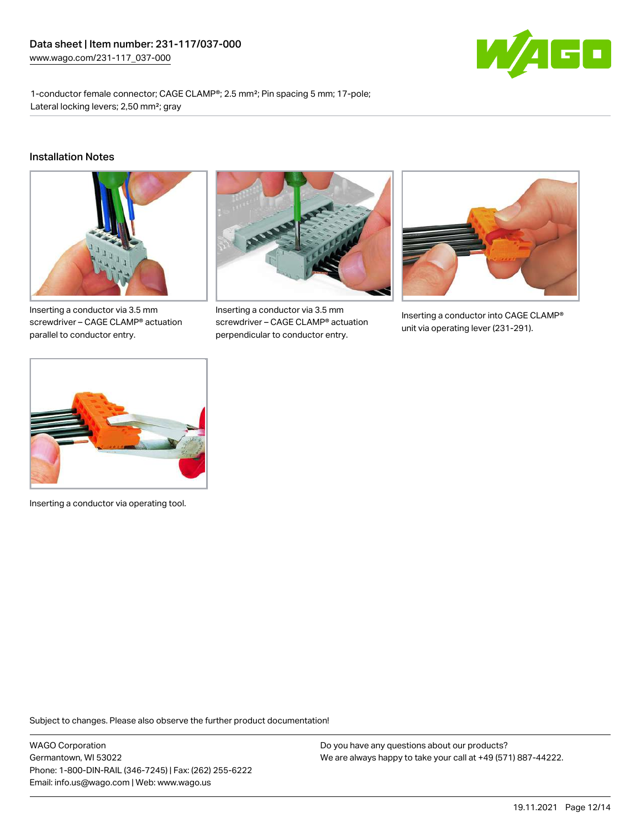

1-conductor female connector; CAGE CLAMP®; 2.5 mm²; Pin spacing 5 mm; 17-pole; Lateral locking levers; 2,50 mm²; gray

#### Installation Notes



Inserting a conductor via 3.5 mm screwdriver – CAGE CLAMP® actuation parallel to conductor entry.



Inserting a conductor via 3.5 mm screwdriver – CAGE CLAMP® actuation perpendicular to conductor entry.



Inserting a conductor into CAGE CLAMP® unit via operating lever (231-291).



Inserting a conductor via operating tool.

Subject to changes. Please also observe the further product documentation!

WAGO Corporation Germantown, WI 53022 Phone: 1-800-DIN-RAIL (346-7245) | Fax: (262) 255-6222 Email: info.us@wago.com | Web: www.wago.us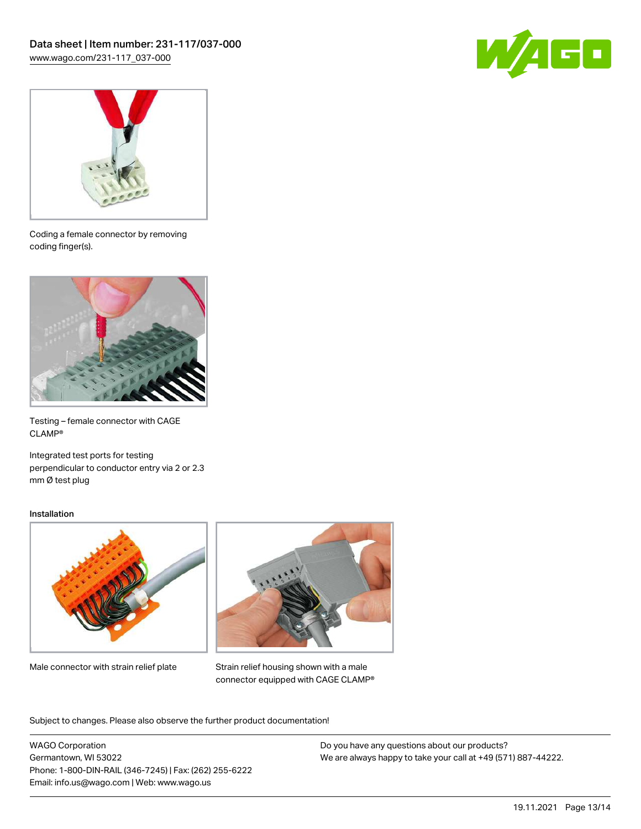



Coding a female connector by removing coding finger(s).



Testing – female connector with CAGE CLAMP®

Integrated test ports for testing perpendicular to conductor entry via 2 or 2.3 mm Ø test plug

#### Installation



Male connector with strain relief plate



Strain relief housing shown with a male connector equipped with CAGE CLAMP®

Subject to changes. Please also observe the further product documentation!

WAGO Corporation Germantown, WI 53022 Phone: 1-800-DIN-RAIL (346-7245) | Fax: (262) 255-6222 Email: info.us@wago.com | Web: www.wago.us